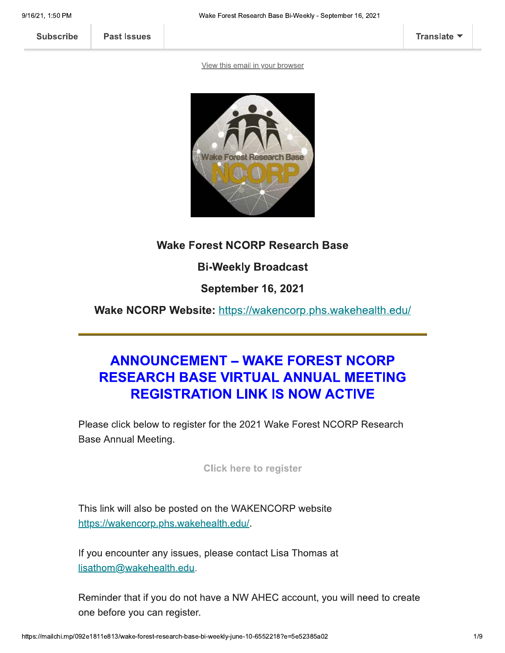**Past Issues** 

View this email in your browser



### **Wake Forest NCORP Research Base**

#### **Bi-Weekly Broadcast**

**September 16, 2021** 

Wake NCORP Website: https://wakencorp.phs.wakehealth.edu/

# **ANNOUNCEMENT - WAKE FOREST NCORP RESEARCH BASE VIRTUAL ANNUAL MEETING REGISTRATION LINK IS NOW ACTIVE**

Please click below to register for the 2021 Wake Forest NCORP Research **Base Annual Meeting.** 

**Click here to register** 

This link will also be posted on the WAKENCORP website https://wakencorp.phs.wakehealth.edu/.

If you encounter any issues, please contact Lisa Thomas at lisathom@wakehealth.edu.

Reminder that if you do not have a NW AHEC account, you will need to create one before you can register.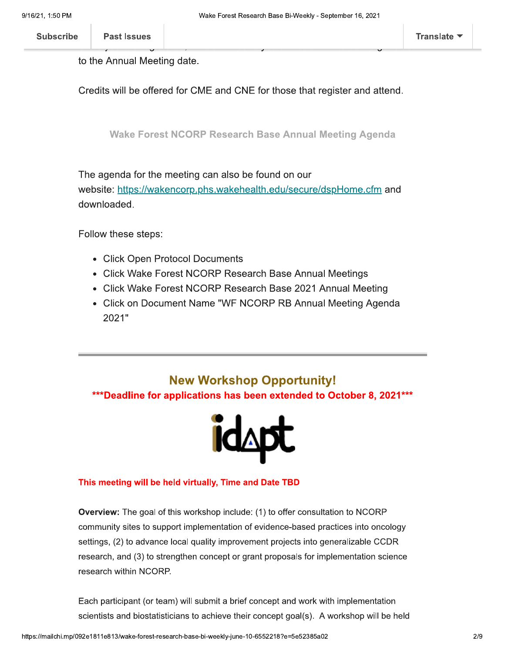to the Annual Meeting date.

Credits will be offered for CME and CNE for those that register and attend.

**Wake Forest NCORP Research Base Annual Meeting Agenda** 

The agenda for the meeting can also be found on our website: https://wakencorp.phs.wakehealth.edu/secure/dspHome.cfm and downloaded.

Follow these steps:

- Click Open Protocol Documents
- Click Wake Forest NCORP Research Base Annual Meetings
- Click Wake Forest NCORP Research Base 2021 Annual Meeting
- Click on Document Name "WF NCORP RB Annual Meeting Agenda 2021"

## **New Workshop Opportunity!** \*\*\*Deadline for applications has been extended to October 8, 2021 \*\*\*



#### This meeting will be held virtually, Time and Date TBD

Overview: The goal of this workshop include: (1) to offer consultation to NCORP community sites to support implementation of evidence-based practices into oncology settings, (2) to advance local quality improvement projects into generalizable CCDR research, and (3) to strengthen concept or grant proposals for implementation science research within NCORP.

Each participant (or team) will submit a brief concept and work with implementation scientists and biostatisticians to achieve their concept goal(s). A workshop will be held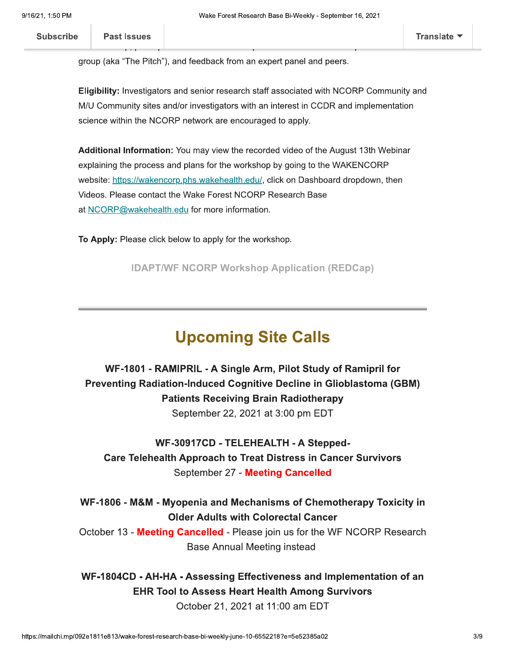**Subscribe** 

group (aka "The Pitch"), and feedback from an expert panel and peers.

Eligibility: Investigators and senior research staff associated with NCORP Community and M/U Community sites and/or investigators with an interest in CCDR and implementation science within the NCORP network are encouraged to apply.

Additional Information: You may view the recorded video of the August 13th Webinar explaining the process and plans for the workshop by going to the WAKENCORP website: https://wakencorp.phs.wakehealth.edu/, click on Dashboard dropdown, then Videos. Please contact the Wake Forest NCORP Research Base at NCORP@wakehealth.edu for more information.

To Apply: Please click below to apply for the workshop.

**IDAPT/WF NCORP Workshop Application (REDCap)** 

# **Upcoming Site Calls**

WF-1801 - RAMIPRIL - A Single Arm, Pilot Study of Ramipril for **Preventing Radiation-Induced Cognitive Decline in Glioblastoma (GBM) Patients Receiving Brain Radiotherapy** September 22, 2021 at 3:00 pm EDT

WF-30917CD - TELEHEALTH - A Stepped-**Care Telehealth Approach to Treat Distress in Cancer Survivors** September 27 - Meeting Cancelled

WF-1806 - M&M - Myopenia and Mechanisms of Chemotherapy Toxicity in **Older Adults with Colorectal Cancer** 

October 13 - Meeting Cancelled - Please join us for the WF NCORP Research **Base Annual Meeting instead** 

WF-1804CD - AH-HA - Assessing Effectiveness and Implementation of an **EHR Tool to Assess Heart Health Among Survivors** 

October 21, 2021 at 11:00 am EDT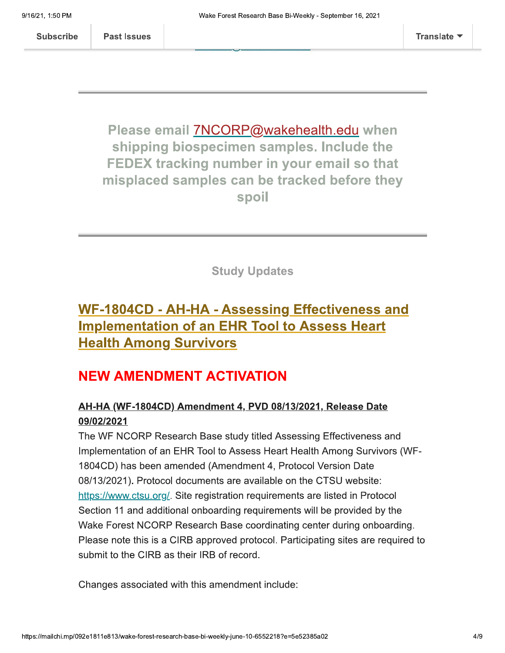**Subscribe** 

**Past Issues** 

Please email 7NCORP@wakehealth.edu when shipping biospecimen samples. Include the FEDEX tracking number in your email so that misplaced samples can be tracked before they spoil

**Study Updates** 

# WF-1804CD - AH-HA - Assessing Effectiveness and **Implementation of an EHR Tool to Assess Heart Health Among Survivors**

## **NEW AMENDMENT ACTIVATION**

### AH-HA (WF-1804CD) Amendment 4, PVD 08/13/2021, Release Date 09/02/2021

The WF NCORP Research Base study titled Assessing Effectiveness and Implementation of an EHR Tool to Assess Heart Health Among Survivors (WF-1804CD) has been amended (Amendment 4, Protocol Version Date 08/13/2021). Protocol documents are available on the CTSU website: https://www.ctsu.org/. Site registration requirements are listed in Protocol Section 11 and additional onboarding requirements will be provided by the Wake Forest NCORP Research Base coordinating center during onboarding. Please note this is a CIRB approved protocol. Participating sites are required to submit to the CIRB as their IRB of record.

Changes associated with this amendment include: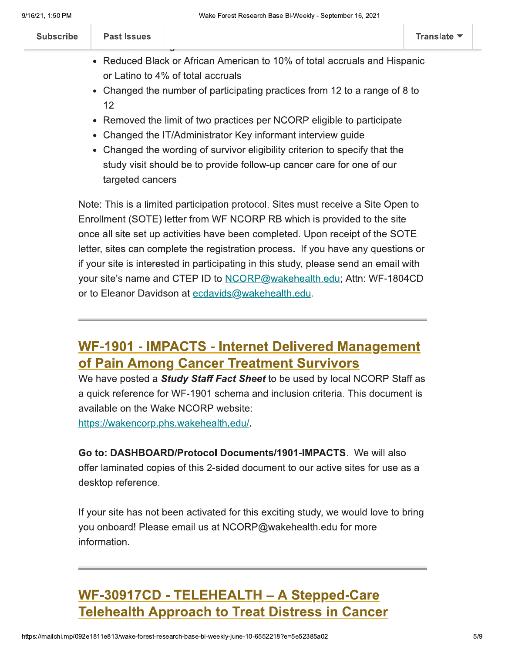| <b>Subscribe</b> | Past Issues |                                                                           | Translate $\blacktriangledown$ |
|------------------|-------------|---------------------------------------------------------------------------|--------------------------------|
|                  |             | • Reduced Black or African American to 10% of total accruals and Hispanic |                                |
|                  |             | or Latino to 4% of total accruals                                         |                                |

- Changed the number of participating practices from 12 to a range of 8 to  $12$
- Removed the limit of two practices per NCORP eligible to participate
- Changed the IT/Administrator Key informant interview guide
- Changed the wording of survivor eligibility criterion to specify that the study visit should be to provide follow-up cancer care for one of our targeted cancers

Note: This is a limited participation protocol. Sites must receive a Site Open to Enrollment (SOTE) letter from WF NCORP RB which is provided to the site once all site set up activities have been completed. Upon receipt of the SOTE letter, sites can complete the registration process. If you have any questions or if your site is interested in participating in this study, please send an email with your site's name and CTEP ID to NCORP@wakehealth.edu; Attn: WF-1804CD or to Eleanor Davidson at ecdavids@wakehealth.edu.

## **WF-1901 - IMPACTS - Internet Delivered Management** of Pain Among Cancer Treatment Survivors

We have posted a **Study Staff Fact Sheet** to be used by local NCORP Staff as a quick reference for WF-1901 schema and inclusion criteria. This document is available on the Wake NCORP website: https://wakencorp.phs.wakehealth.edu/.

Go to: DASHBOARD/Protocol Documents/1901-IMPACTS. We will also offer laminated copies of this 2-sided document to our active sites for use as a desktop reference.

If your site has not been activated for this exciting study, we would love to bring you onboard! Please email us at NCORP@wakehealth.edu for more information.

# **WF-30917CD - TELEHEALTH - A Stepped-Care Telehealth Approach to Treat Distress in Cancer**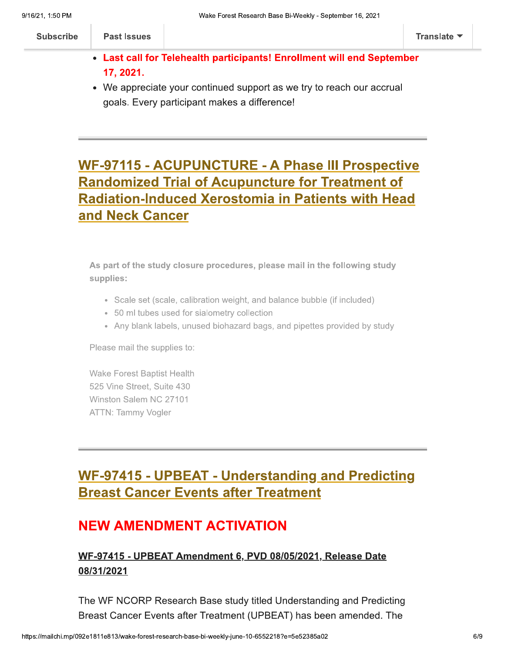| <b>Subscribe</b> | <b>Past Issues</b> |                                                                        | Translate <b>*</b> |
|------------------|--------------------|------------------------------------------------------------------------|--------------------|
|                  |                    | • Last call for Telehealth participants! Enrollment will end September |                    |

17, 2021.

• We appreciate your continued support as we try to reach our accrual goals. Every participant makes a difference!

# **WF-97115 - ACUPUNCTURE - A Phase III Prospective Randomized Trial of Acupuncture for Treatment of** Radiation-Induced Xerostomia in Patients with Head and Neck Cancer

As part of the study closure procedures, please mail in the following study supplies:

- Scale set (scale, calibration weight, and balance bubble (if included)
- 50 ml tubes used for sialometry collection
- Any blank labels, unused biohazard bags, and pipettes provided by study

Please mail the supplies to:

**Wake Forest Baptist Health** 525 Vine Street, Suite 430 Winston Salem NC 27101 **ATTN: Tammy Vogler** 

# WF-97415 - UPBEAT - Understanding and Predicting **Breast Cancer Events after Treatment**

# **NEW AMENDMENT ACTIVATION**

### WF-97415 - UPBEAT Amendment 6, PVD 08/05/2021, Release Date 08/31/2021

The WF NCORP Research Base study titled Understanding and Predicting Breast Cancer Events after Treatment (UPBEAT) has been amended. The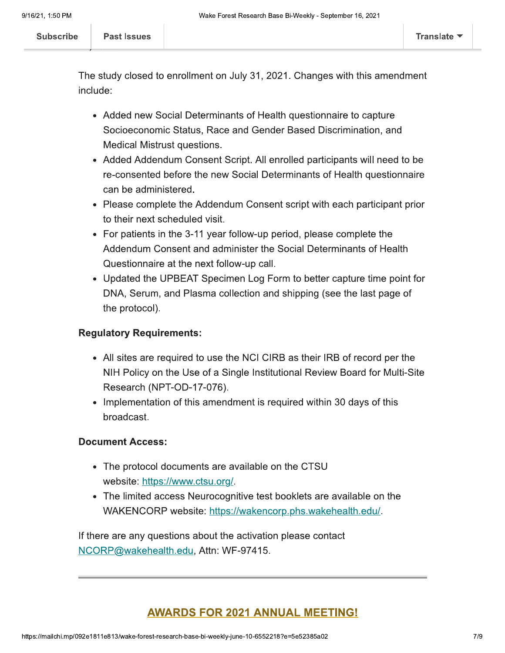The study closed to enrollment on July 31, 2021. Changes with this amendment include:

- Added new Social Determinants of Health questionnaire to capture Socioeconomic Status, Race and Gender Based Discrimination, and Medical Mistrust questions.
- Added Addendum Consent Script. All enrolled participants will need to be re-consented before the new Social Determinants of Health questionnaire can be administered.
- Please complete the Addendum Consent script with each participant prior to their next scheduled visit.
- For patients in the 3-11 year follow-up period, please complete the Addendum Consent and administer the Social Determinants of Health Questionnaire at the next follow-up call.
- Updated the UPBEAT Specimen Log Form to better capture time point for DNA, Serum, and Plasma collection and shipping (see the last page of the protocol).

#### **Regulatory Requirements:**

- All sites are required to use the NCI CIRB as their IRB of record per the NIH Policy on the Use of a Single Institutional Review Board for Multi-Site Research (NPT-OD-17-076).
- Implementation of this amendment is required within 30 days of this broadcast.

#### **Document Access:**

- The protocol documents are available on the CTSU website: https://www.ctsu.org/.
- The limited access Neurocognitive test booklets are available on the WAKENCORP website: https://wakencorp.phs.wakehealth.edu/.

If there are any questions about the activation please contact NCORP@wakehealth.edu, Attn: WF-97415.

### **AWARDS FOR 2021 ANNUAL MEETING!**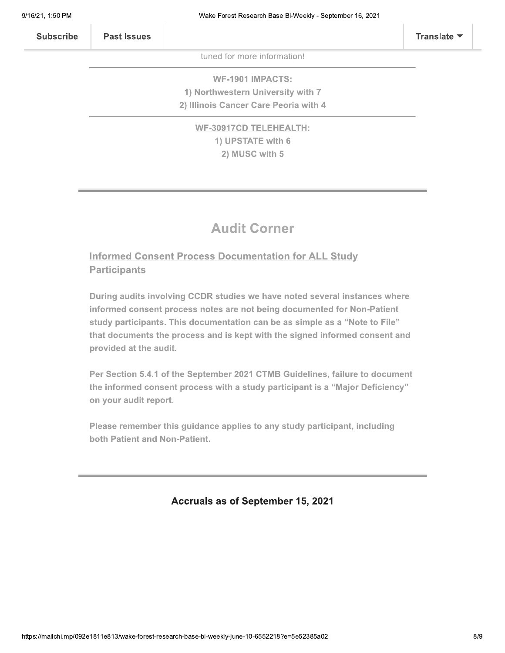| <b>Subscribe</b> | <b>Past Issues</b> |                             | Translate $\blacktriangledown$ |
|------------------|--------------------|-----------------------------|--------------------------------|
|                  |                    | tuned for more information! |                                |
|                  |                    | <b>WF-1901 IMPACTS:</b>     |                                |

1) Northwestern University with 7 2) Illinois Cancer Care Peoria with 4

> **WF-30917CD TELEHEALTH:** 1) UPSTATE with 6 2) MUSC with 5

## **Audit Corner**

**Informed Consent Process Documentation for ALL Study Participants** 

During audits involving CCDR studies we have noted several instances where informed consent process notes are not being documented for Non-Patient study participants. This documentation can be as simple as a "Note to File" that documents the process and is kept with the signed informed consent and provided at the audit.

Per Section 5.4.1 of the September 2021 CTMB Guidelines, failure to document the informed consent process with a study participant is a "Major Deficiency" on your audit report.

Please remember this guidance applies to any study participant, including both Patient and Non-Patient.

Accruals as of September 15, 2021